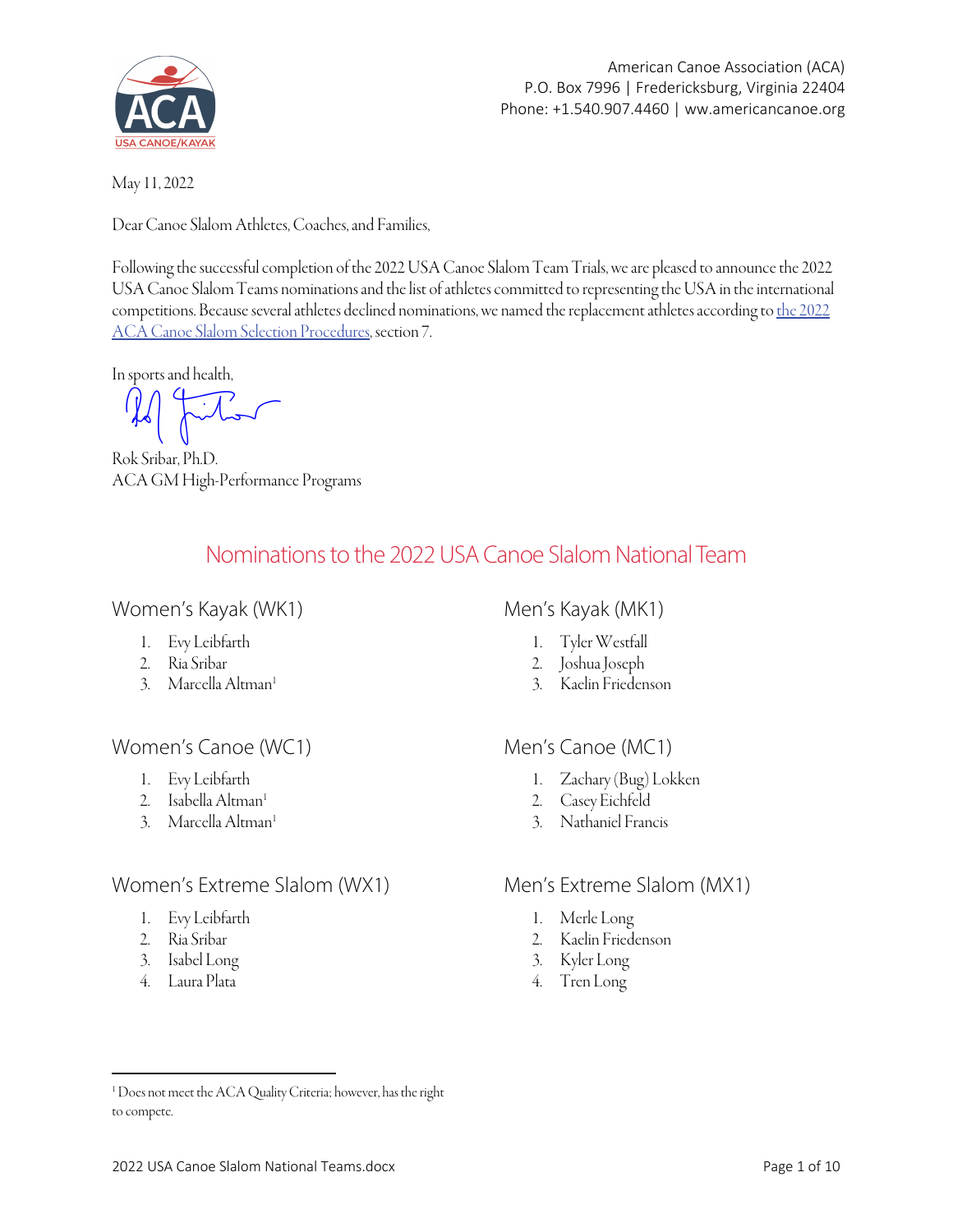

American Canoe Association (ACA) P.O. Box 7996 | Fredericksburg, Virginia 22404 Phone: +1.540.907.4460 | ww.americancanoe.org

May 11, 2022

Dear Canoe Slalom Athletes, Coaches, and Families,

Following the successful completion of the 2022 USA Canoe Slalom Team Trials, we are pleased to announce the 2022 USA Canoe Slalom Teams nominations and the list of athletes committed to representing the USA in the international [competitions. Because several athletes declined nominations, we named the replacement athletes according to](https://americancanoe.org/wp-content/uploads/2022/02/2022-USA-CSL-National-Team-Athlete-Selection-Procedures-v4.pdf) the 2022 ACA Canoe Slalom Selection Procedures, section 7.

In sports and health,

Rok Sribar, Ph.D. ACA GM High-Performance Programs

## Nominations to the 2022 USA Canoe Slalom National Team

## Women's Kayak (WK1)

- 1. Evy Leibfarth
- 2. Ria Sribar
- 3. Marcella Altman<sup>1</sup>

## Women's Canoe (WC1)

- 1. Evy Leibfarth
- 2. Isabella Altman<sup>1</sup>
- 3. Marcella Altman<sup>1</sup>

## Women's Extreme Slalom (WX1)

- 1. Evy Leibfarth
- 2. Ria Sribar
- 3. Isabel Long
- 4. Laura Plata

## Men's Kayak (MK1)

- 1. Tyler Westfall
- 2. Joshua Joseph
- 3. Kaelin Friedenson

## Men's Canoe (MC1)

- 1. Zachary (Bug) Lokken
- 2. Casey Eichfeld
- 3. Nathaniel Francis

## Men's Extreme Slalom (MX1)

- 1. Merle Long
- 2. Kaelin Friedenson
- 3. Kyler Long
- 4. Tren Long

<sup>&</sup>lt;sup>1</sup> Does not meet the ACA Quality Criteria; however, has the right to compete.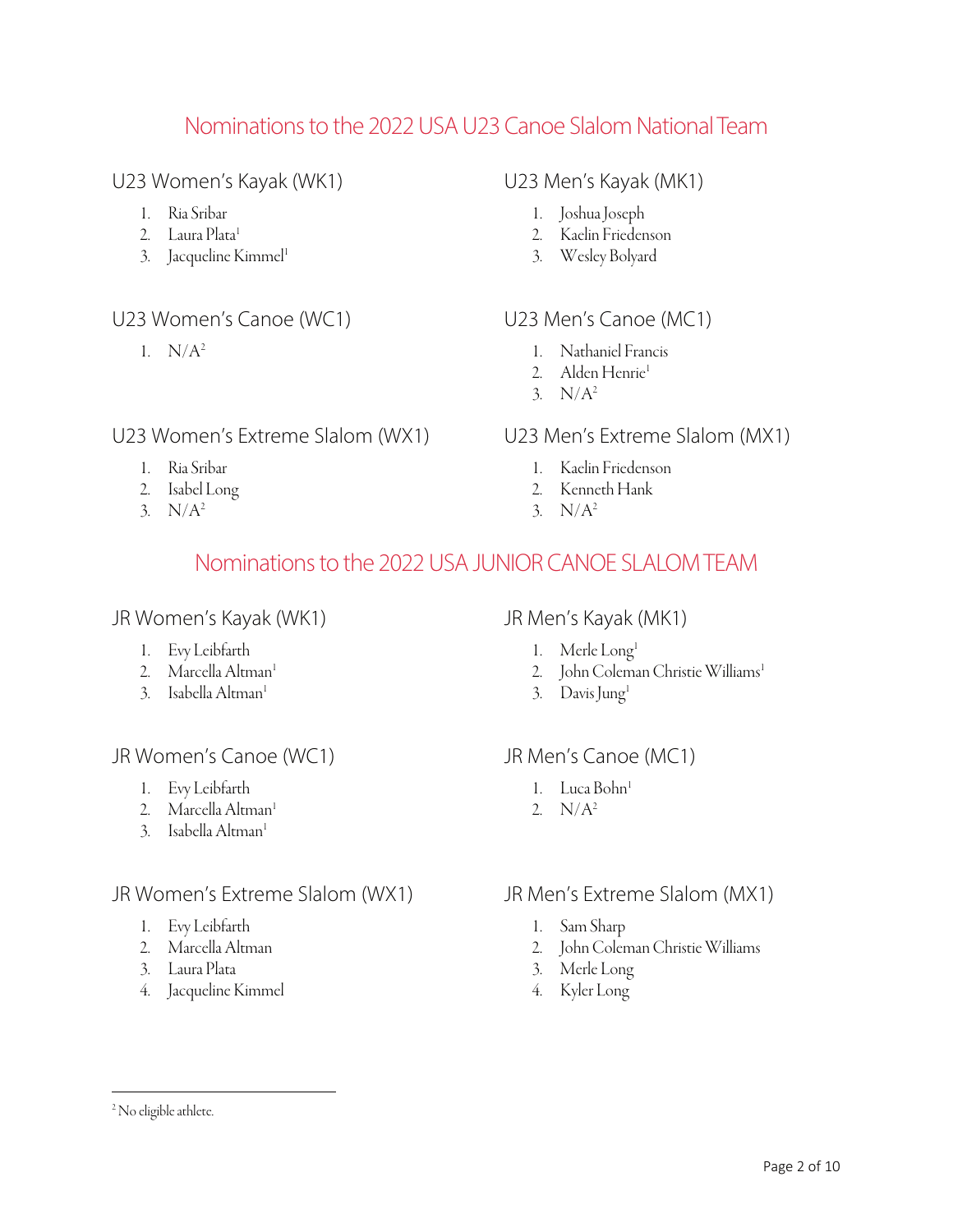## Nominations to the 2022 USA U23 Canoe Slalom National Team

## U23 Women's Kayak (WK1)

- 1. Ria Sribar
- 2. Laura Plata<sup>1</sup>
- 3. Jacqueline Kimmel<sup>1</sup>

## U23 Women's Canoe (WC1)

1.  $N/A^2$ 

## U23 Women's Extreme Slalom (WX1)

- 1. Ria Sribar
- 2. Isabel Long
- 3.  $N/A^2$

## U23 Men's Kayak (MK1)

- 1. Joshua Joseph
- 2. Kaelin Friedenson
- 3. Wesley Bolyard

## U23 Men's Canoe (MC1)

- 1. Nathaniel Francis
- 2. Alden Henrie<sup>1</sup>
- 3.  $N/A^2$

### U23 Men's Extreme Slalom (MX1)

- 1. Kaelin Friedenson
- 2. Kenneth Hank
- 3.  $N/A^2$

## Nominations to the 2022 USA JUNIOR CANOE SLALOM TEAM

### JR Women's Kayak (WK1)

- 1. Evy Leibfarth
- 2. Marcella Altman<sup>1</sup>
- 3. Isabella Altman<sup>1</sup>

## JR Women's Canoe (WC1)

- 1. Evy Leibfarth
- 2. Marcella Altman $^1$
- 3. Isabella Altman<sup>1</sup>

## JR Women's Extreme Slalom (WX1)

- 1. Evy Leibfarth
- 2. Marcella Altman
- 3. Laura Plata
- 4. Jacqueline Kimmel

### JR Men's Kayak (MK1)

- 1. Merle Long<sup>1</sup>
- 2. John Coleman Christie Williams<sup>1</sup>
- 3. Davis Jung1

### JR Men's Canoe (MC1)

- 1. Luca Bohn<sup>1</sup>
- 2.  $N/A^2$

### JR Men's Extreme Slalom (MX1)

- 1. Sam Sharp
- 2. John Coleman Christie Williams
- 3. Merle Long
- 4. Kyler Long

<sup>&</sup>lt;sup>2</sup> No eligible athlete.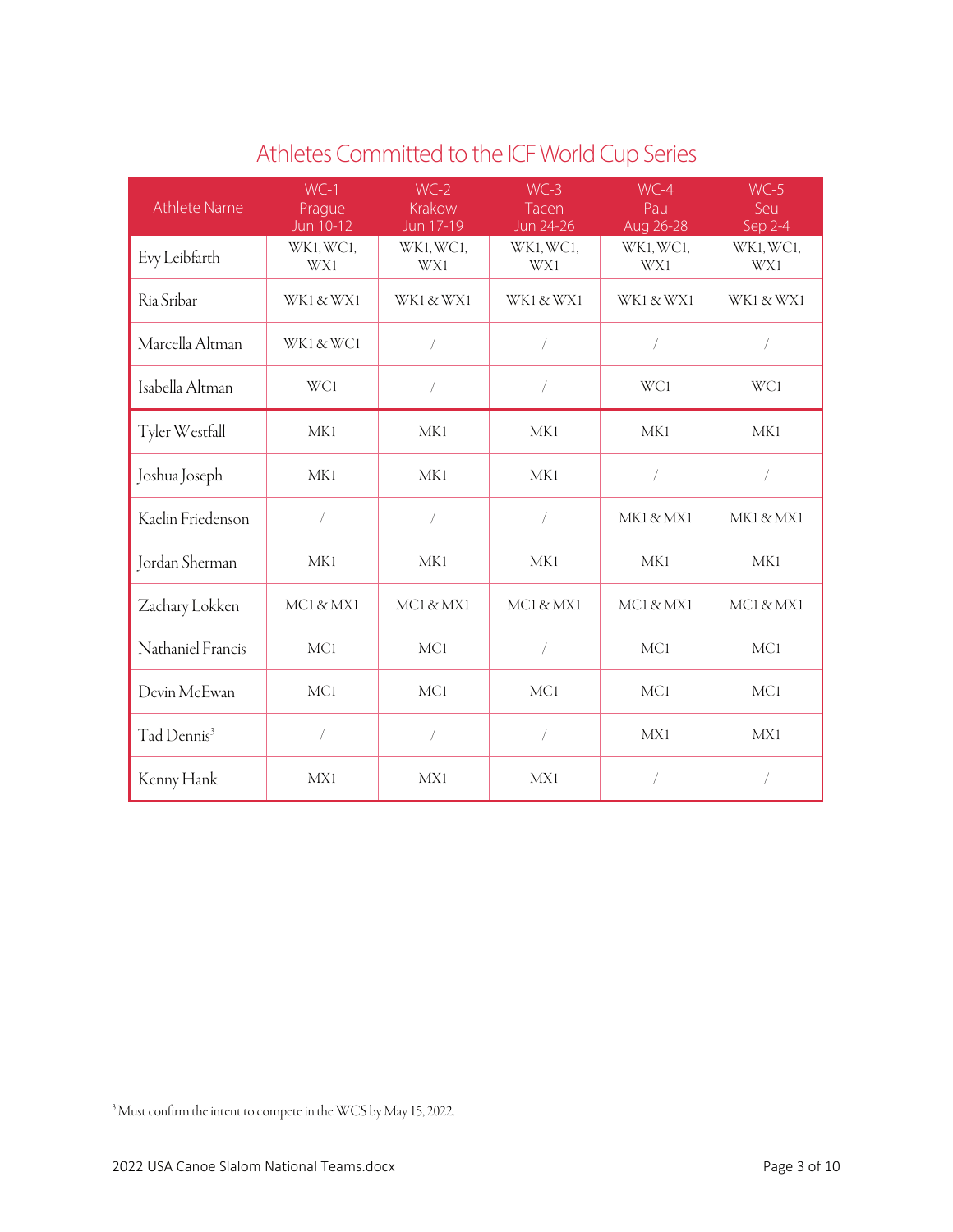| Athlete Name            | $WC-1$<br>Prague<br>Jun 10-12 | $WC-2$<br>Krakow<br>Jun 17-19 | $WC-3$<br>Tacen<br>Jun 24-26 | $WC-4$<br>Pau<br>Aug 26-28 | $WC-5$<br>Seu<br>Sep 2-4 |
|-------------------------|-------------------------------|-------------------------------|------------------------------|----------------------------|--------------------------|
| Evy Leibfarth           | WK1, WC1,<br>WX1              | WK1, WC1,<br>WX1              | WK1, WC1,<br>WX1             | WK1, WC1,<br>WX1           | WK1, WC1,<br>WX1         |
| Ria Sribar              | WK1 & WX1                     | WK1 & WX1                     | WK1 & WX1                    | WK1 & WX1                  | WK1 & WX1                |
| Marcella Altman         | WK1 & WC1                     | $\sqrt{2}$                    | $\overline{ }$               | $\sqrt{2}$                 | 7                        |
| Isabella Altman         | WC1                           |                               |                              | WC1                        | WC1                      |
| Tyler Westfall          | <b>MK1</b>                    | MK1                           | <b>MK1</b>                   | MK1                        | <b>MK1</b>               |
| Joshua Joseph           | MK1                           | MK1                           | MK1                          | $\sqrt{2}$                 | 7                        |
| Kaelin Friedenson       | $\sqrt{2}$                    |                               | $\sqrt{2}$                   | MK1 & MX1                  | MK1 & MX1                |
| Jordan Sherman          | MK1                           | MK1                           | MK1                          | MK1                        | MK1                      |
| Zachary Lokken          | MCI & MX1                     | MCI & MXI                     | MCI & MXI                    | MC1 & MX1                  | MC1 & MX1                |
| Nathaniel Francis       | <b>MC1</b>                    | MC1                           | $\overline{1}$               | <b>MC1</b>                 | MC <sub>1</sub>          |
| Devin McEwan            | <b>MC1</b>                    | MC1                           | MC1                          | MC <sub>1</sub>            | MC1                      |
| Tad Dennis <sup>3</sup> |                               |                               | $\sqrt{2}$                   | <b>MX1</b>                 | MX1                      |
| Kenny Hank              | MX1                           | MX1                           | MX1                          | $\sqrt{2}$                 | $\sqrt{2}$               |

# Athletes Committed to the ICF World Cup Series

<sup>3</sup> Must confirm the intent to compete in the WCS by May 15, 2022.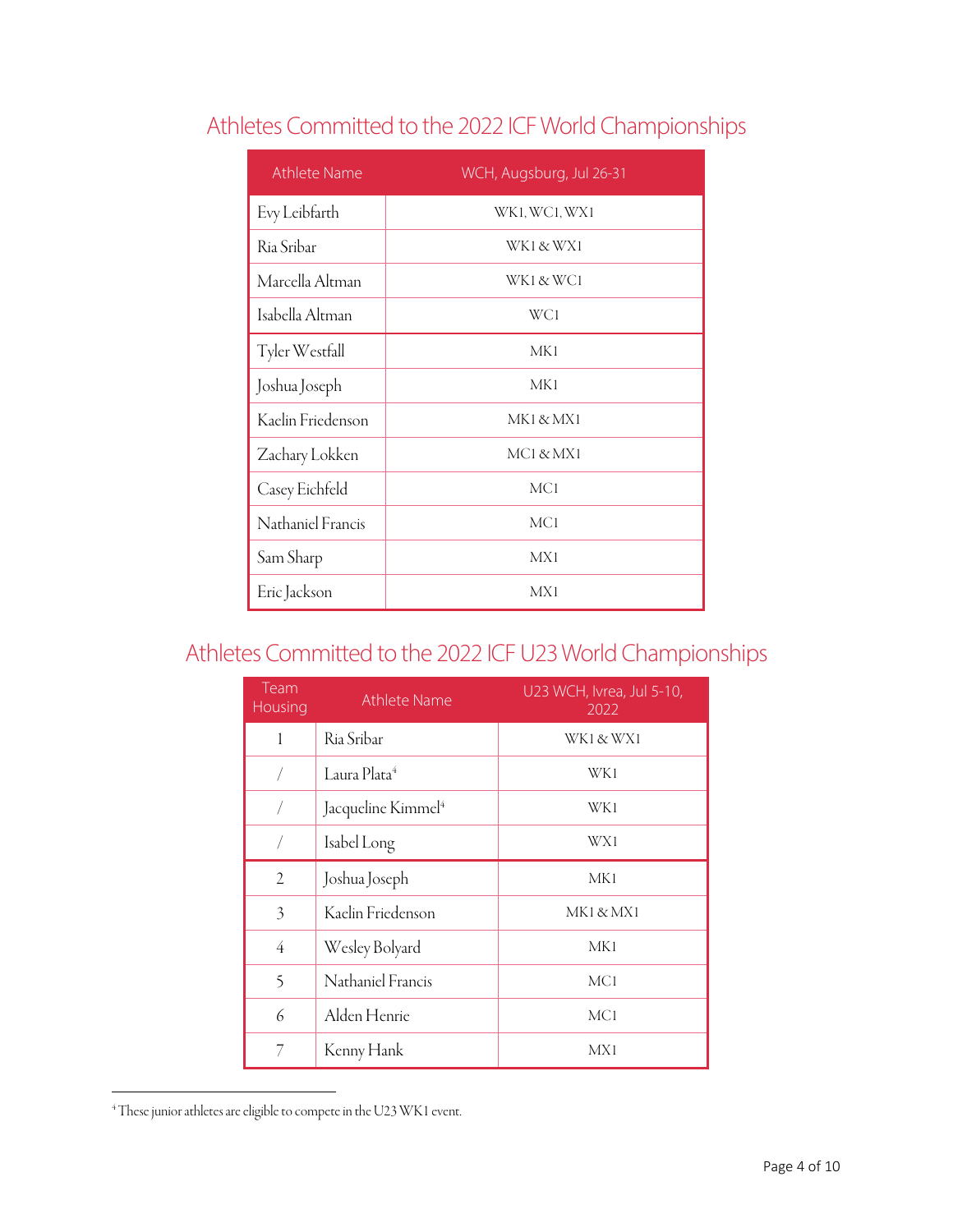# Athletes Committed to the 2022 ICF World Championships

| <b>Athlete Name</b> | WCH, Augsburg, Jul 26-31 |
|---------------------|--------------------------|
| Evy Leibfarth       | WK1, WC1, WX1            |
| Ria Sribar          | WK1 & WX1                |
| Marcella Altman     | WK1 & WC1                |
| Isabella Altman     | WC1                      |
| Tyler Westfall      | MK1                      |
| Joshua Joseph       | MK1                      |
| Kaelin Friedenson   | MK1 & MX1                |
| Zachary Lokken      | MCI & MXI                |
| Casey Eichfeld      | MC <sub>1</sub>          |
| Nathaniel Francis   | <b>MCI</b>               |
| Sam Sharp           | MX1                      |
| Eric Jackson        | MX1                      |

# Athletes Committed to the 2022 ICF U23 World Championships

| Team<br>Housing | <b>Athlete Name</b>            | U23 WCH, Ivrea, Jul 5-10,<br>2022 |
|-----------------|--------------------------------|-----------------------------------|
| 1               | Ria Sribar                     | WK1 & WX1                         |
|                 | Laura Plata <sup>4</sup>       | WK1                               |
|                 | Jacqueline Kimmel <sup>4</sup> | WK1                               |
|                 | Isabel Long                    | WX1                               |
| 2               | Joshua Joseph                  | MK1                               |
| 3               | Kaelin Friedenson              | MK1 & MX1                         |
| 4               | Wesley Bolyard                 | MK1                               |
| 5               | Nathaniel Francis              | MC <sub>1</sub>                   |
| 6               | Alden Henrie                   | MC <sub>1</sub>                   |
| 7               | Kenny Hank                     | MX1                               |

<sup>4</sup> These junior athletes are eligible to compete in the U23 WK1 event.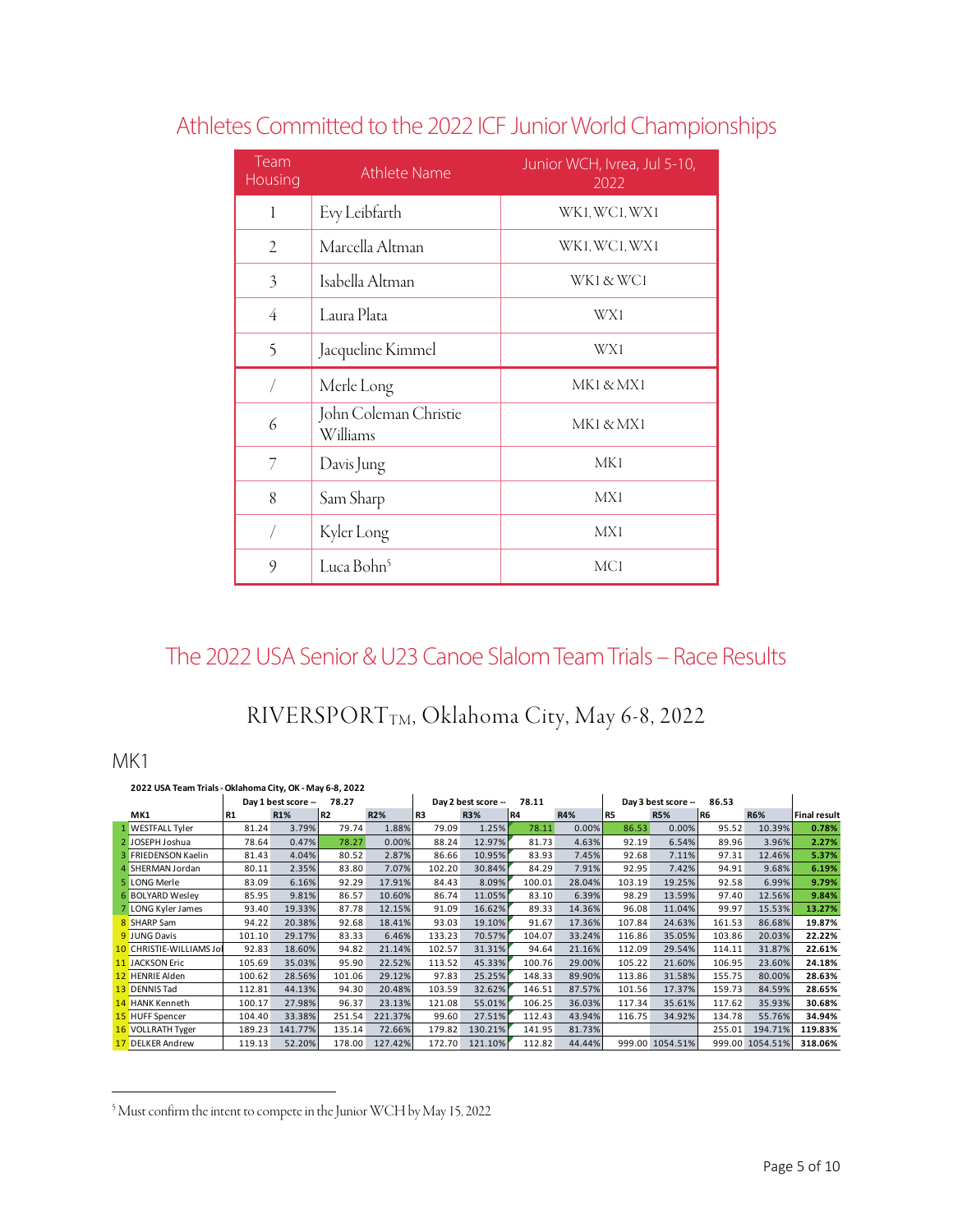| Team<br>Housing | <b>Athlete Name</b>               | Junior WCH, Ivrea, Jul 5-10,<br>2022 |
|-----------------|-----------------------------------|--------------------------------------|
| 1               | Evy Leibfarth                     | WK1, WC1, WX1                        |
| 2               | Marcella Altman                   | WK1, WC1, WX1                        |
| $\mathfrak{Z}$  | Isabella Altman                   | WK1 & WC1                            |
| $\overline{4}$  | Laura Plata                       | WX1                                  |
| 5               | Jacqueline Kimmel                 | WX1                                  |
|                 | Merle Long                        | MK1 & MX1                            |
| 6               | John Coleman Christie<br>Williams | MK1 & MX1                            |
| 7               | Davis Jung                        | MK1                                  |
| 8               | Sam Sharp                         | MX1                                  |
| 7               | Kyler Long                        | MX1                                  |
| 9               | Luca Bohn <sup>5</sup>            | MC <sub>1</sub>                      |

# Athletes Committed to the 2022 ICF Junior World Championships

## The 2022 USA Senior & U23 Canoe Slalom Team Trials – Race Results

## RIVERSPORTTM, Oklahoma City, May 6-8, 2022

### MK1

| 2022 USA Team Trials - Oklahoma City, OK - May 6-8, 2022 |           |                     |        |            |        |                     |           |            |        |                    |        |                 |                     |
|----------------------------------------------------------|-----------|---------------------|--------|------------|--------|---------------------|-----------|------------|--------|--------------------|--------|-----------------|---------------------|
|                                                          |           | Day 1 best score -- | 78.27  |            |        | Day 2 best score -- | 78.11     |            |        | Day 3 best score - | 86.53  |                 |                     |
| MK1                                                      | <b>R1</b> | <b>R1%</b>          | l R2   | <b>R2%</b> | l R3   | <b>R3%</b>          | <b>R4</b> | <b>R4%</b> | IR5    | <b>R5%</b>         | l R6   | <b>R6%</b>      | <b>Final result</b> |
| 1 WESTFALL Tyler                                         | 81.24     | 3.79%               | 79.74  | 1.88%      | 79.09  | 1.25%               | 78.11     | 0.00%      | 86.53  | 0.00%              | 95.52  | 10.39%          | 0.78%               |
| 2 JOSEPH Joshua                                          | 78.64     | 0.47%               | 78.27  | 0.00%      | 88.24  | 12.97%              | 81.73     | 4.63%      | 92.19  | 6.54%              | 89.96  | 3.96%           | 2.27%               |
| 3 FRIEDENSON Kaelin                                      | 81.43     | 4.04%               | 80.52  | 2.87%      | 86.66  | 10.95%              | 83.93     | 7.45%      | 92.68  | 7.11%              | 97.31  | 12.46%          | 5.37%               |
| 4 SHERMAN Jordan                                         | 80.11     | 2.35%               | 83.80  | 7.07%      | 102.20 | 30.84%              | 84.29     | 7.91%      | 92.95  | 7.42%              | 94.91  | 9.68%           | 6.19%               |
| 5 LONG Merle                                             | 83.09     | 6.16%               | 92.29  | 17.91%     | 84.43  | 8.09%               | 100.01    | 28.04%     | 103.19 | 19.25%             | 92.58  | 6.99%           | 9.79%               |
| 6 BOLYARD Wesley                                         | 85.95     | 9.81%               | 86.57  | 10.60%     | 86.74  | 11.05%              | 83.10     | 6.39%      | 98.29  | 13.59%             | 97.40  | 12.56%          | 9.84%               |
| 7 LONG Kyler James                                       | 93.40     | 19.33%              | 87.78  | 12.15%     | 91.09  | 16.62%              | 89.33     | 14.36%     | 96.08  | 11.04%             | 99.97  | 15.53%          | 13.27%              |
| 8 SHARP Sam                                              | 94.22     | 20.38%              | 92.68  | 18.41%     | 93.03  | 19.10%              | 91.67     | 17.36%     | 107.84 | 24.63%             | 161.53 | 86.68%          | 19.87%              |
| <b>9</b> JUNG Davis                                      | 101.10    | 29.17%              | 83.33  | 6.46%      | 133.23 | 70.57%              | 104.07    | 33.24%     | 116.86 | 35.05%             | 103.86 | 20.03%          | 22.22%              |
| 10 CHRISTIE-WILLIAMS Jol                                 | 92.83     | 18.60%              | 94.82  | 21.14%     | 102.57 | 31.31%              | 94.64     | 21.16%     | 112.09 | 29.54%             | 114.11 | 31.87%          | 22.61%              |
| <b>11 JACKSON Eric</b>                                   | 105.69    | 35.03%              | 95.90  | 22.52%     | 113.52 | 45.33%              | 100.76    | 29.00%     | 105.22 | 21.60%             | 106.95 | 23.60%          | 24.18%              |
| 12 HENRIE Alden                                          | 100.62    | 28.56%              | 101.06 | 29.12%     | 97.83  | 25.25%              | 148.33    | 89.90%     | 113.86 | 31.58%             | 155.75 | 80.00%          | 28.63%              |
| 13 DENNIS Tad                                            | 112.81    | 44.13%              | 94.30  | 20.48%     | 103.59 | 32.62%              | 146.51    | 87.57%     | 101.56 | 17.37%             | 159.73 | 84.59%          | 28.65%              |
| 14 HANK Kenneth                                          | 100.17    | 27.98%              | 96.37  | 23.13%     | 121.08 | 55.01%              | 106.25    | 36.03%     | 117.34 | 35.61%             | 117.62 | 35.93%          | 30.68%              |
| 15 HUFF Spencer                                          | 104.40    | 33.38%              | 251.54 | 221.37%    | 99.60  | 27.51%              | 112.43    | 43.94%     | 116.75 | 34.92%             | 134.78 | 55.76%          | 34.94%              |
| 16 VOLLRATH Tyger                                        | 189.23    | 141.77%             | 135.14 | 72.66%     | 179.82 | 130.21%             | 141.95    | 81.73%     |        |                    | 255.01 | 194.71%         | 119.83%             |
| 17 DELKER Andrew                                         | 119.13    | 52.20%              | 178.00 | 127.42%    | 172.70 | 121.10%             | 112.82    | 44.44%     |        | 999.00 1054.51%    |        | 999.00 1054.51% | 318.06%             |

<sup>&</sup>lt;sup>5</sup> Must confirm the intent to compete in the Junior WCH by May 15, 2022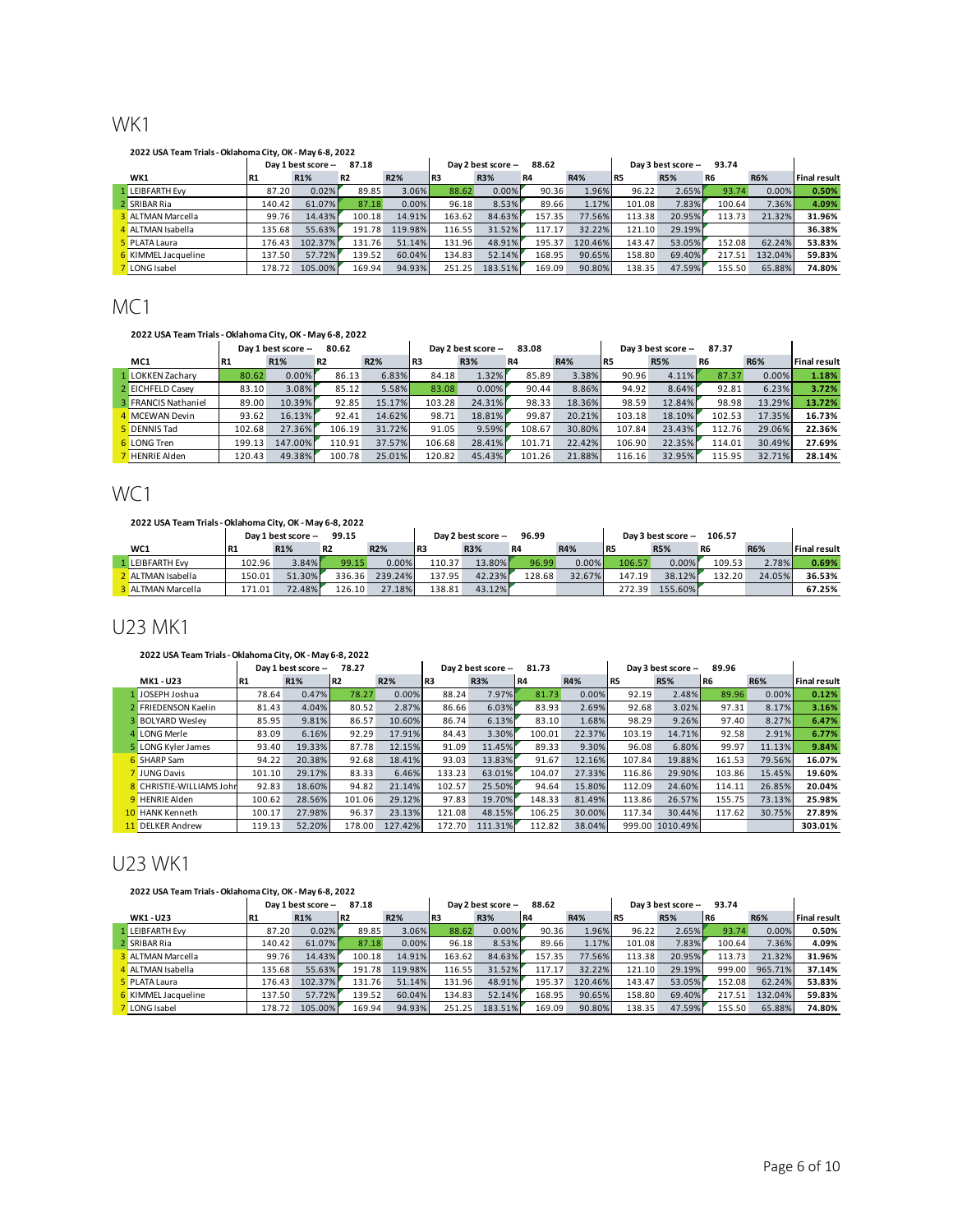## WK1

#### **2022 USA Team Trials - Oklahoma City, OK - May 6-8, 2022**

|                          | 87.18<br>Day 1 best score -- |         |           |         |                 | Day 2 best score - | 88.62     |            | 93.74<br>Day 3 best score -- |            |        |            |                     |
|--------------------------|------------------------------|---------|-----------|---------|-----------------|--------------------|-----------|------------|------------------------------|------------|--------|------------|---------------------|
| WK1                      | <b>R1</b>                    | R1%     | <b>R2</b> | R2%     | IR <sub>3</sub> | R3%                | <b>R4</b> | <b>R4%</b> | IR5                          | <b>R5%</b> | R6     | <b>R6%</b> | <b>Final result</b> |
| 1 LEIBFARTH Evv          | 87.20                        | 0.02%   | 89.85     | 3.06%   | 88.62           | 0.00%              | 90.36     | 1.96%      | 96.22                        | 2.65%      | 93.74  | 0.00%      | 0.50%               |
| 2 SRIBAR Ria             | 140.42                       | 61.07%  | 87.18     | 0.00%   | 96.18           | 8.53%              | 89.66     | 1.17%      | 101.08                       | 7.83%      | 100.64 | 7.36%      | 4.09%               |
| <b>3</b> ALTMAN Marcella | 99.76                        | 14.43%  | 100.18    | 14.91%  | 163.62          | 84.63%             | 157.35    | 77.56%     | 113.38                       | 20.95%     | 113.73 | 21.32%     | 31.96%              |
| 4 ALTMAN Isabella        | 135.68                       | 55.63%  | 191.78    | 119.98% | 116.55          | 31.52%             | 117.17    | 32.22%     | 121.10                       | 29.19%     |        |            | 36.38%              |
| <b>5</b> PLATA Laura     | 176.43                       | 102.37% | 131.76    | 51.14%  | 131.96          | 48.91%             | 195.37    | 120.46%    | 143.47                       | 53.05%     | 152.08 | 62.24%     | 53.83%              |
| 6 KIMMEL Jacqueline      | 137.50                       | 57.72%  | 139.52    | 60.04%  | 134.83          | 52.14%             | 168.95    | 90.65%     | 158.80                       | 69.40%     | 217.51 | 132.04%    | 59.83%              |
| LONG Isabel              | 178.72                       | 105.00% | 169.94    | 94.93%  | 251.25          | 183.51%            | 169.09    | 90.80%     | 138.35                       | 47.59%     | 155.50 | 65.88%     | 74.80%              |

## MC1

#### **2022 USA Team Trials - Oklahoma City, OK - May 6-8, 2022**

|                            |           | Day 1 best score -- | 80.62     |            |        | Day 2 best score -- | 83.08  |            |                 | Day 3 best score -- | 87.37          |            |                     |
|----------------------------|-----------|---------------------|-----------|------------|--------|---------------------|--------|------------|-----------------|---------------------|----------------|------------|---------------------|
| MC1                        | <b>R1</b> | <b>R1%</b>          | <b>R2</b> | <b>R2%</b> | l R3   | <b>R3%</b>          | R4     | <b>R4%</b> | IR <sub>5</sub> | <b>R5%</b>          | R <sub>6</sub> | <b>R6%</b> | <b>Final result</b> |
| 1 LOKKEN Zacharv           | 80.62     | 0.00%               | 86.13     | 6.83%      | 84.18  | 1.32%               | 85.89  | 3.38%      | 90.96           | 4.11%               | 87.37          | $0.00\%$   | 1.18%               |
| 2 EICHFELD Casev           | 83.10     | 3.08%               | 85.12     | 5.58%      | 83.08  | 0.00%               | 90.44  | 8.86%      | 94.92           | 8.64%               | 92.81          | 6.23%      | 3.72%               |
| <b>3</b> FRANCIS Nathaniel | 89.00     | 10.39%              | 92.85     | 15.17%     | 103.28 | 24.31%              | 98.33  | 18.36%     | 98.59           | 12.84%              | 98.98          | 13.29%     | 13.72%              |
| 4 MCEWAN Devin             | 93.62     | 16.13%              | 92.41     | 14.62%     | 98.71  | 18.81%              | 99.87  | 20.21%     | 103.18          | 18.10%              | 102.53         | 17.35%     | 16.73%              |
| <b>DENNIS Tad</b>          | 102.68    | 27.36%              | 106.19    | 31.72%     | 91.05  | 9.59%               | 108.67 | 30.80%     | 107.84          | 23.43%              | 112.76         | 29.06%     | 22.36%              |
| <b>6</b> LONG Tren         | 199.13    | 147.00%             | 110.91    | 37.57%     | 106.68 | 28.41%              | 101.71 | 22.42%     | 106.90          | 22.35%              | 114.01         | 30.49%     | 27.69%              |
| <b>HENRIE Alden</b>        | 120.43    | 49.38%              | 100.78    | 25.01%     | 120.82 | 45.43%              | 101.26 | 21.88%     | 116.16          | 32.95%              | 115.95         | 32.71%     | 28.14%              |

## WC<sub>1</sub>

#### **2022 USA Team Trials - Oklahoma City, OK - May 6-8, 2022**

|                   |           | Day 1 best score -- | 99.15     |            |        | Day 2 best score -- | 96.99  |            |            | Dav 3 best score -- | 106.57         |            |                     |
|-------------------|-----------|---------------------|-----------|------------|--------|---------------------|--------|------------|------------|---------------------|----------------|------------|---------------------|
| WC1               | <b>R1</b> | R1%                 | <b>R2</b> | <b>R2%</b> | IR3    | <b>R3%</b>          | R4     | <b>R4%</b> | <b>IR5</b> | <b>R5%</b>          | R <sub>6</sub> | <b>R6%</b> | <b>Final result</b> |
| 1 LEIBFARTH Evv   | 102.96    | 3.84%               | 99.15     | 0.00%      | 110.37 | 13.80%              | 96.99  | 0.00%      | 106.57     | 0.00%               | 109.53         | 2.78%      | 0.69%               |
| 2 ALTMAN Isabella | 150.01    | 51.30%              | 336.36    | 239.24%    | 137.95 | 42.23%              | 128.68 | 32.67%     | 147.19     | 38.12%              | 132.20         | 24.05%     | 36.53%              |
| 3 ALTMAN Marcella | 171.01    | 72.48%              | 126.10    | 27.18%     | 138.81 | 43.12%              |        |            | 272.39     | 155.60%             |                |            | 67.25%              |

### U23 MK1

#### **2022 USA Team Trials - Oklahoma City, OK - May 6-8, 2022**

|    |                          |           | Day 1 best score -- | 78.27           |         |        | Day 2 best score -- | 81.73           |            |        | Day 3 best score -- | 89.96  |            |                     |
|----|--------------------------|-----------|---------------------|-----------------|---------|--------|---------------------|-----------------|------------|--------|---------------------|--------|------------|---------------------|
|    | MK1 - U23                | <b>R1</b> | R1%                 | IR <sub>2</sub> | R2%     | l R3   | R3%                 | IR <sub>4</sub> | <b>R4%</b> | IR5    | <b>R5%</b>          | IR6    | <b>R6%</b> | <b>Final result</b> |
|    | JOSEPH Joshua            | 78.64     | 0.47%               | 78.27           | 0.00%   | 88.24  | 7.97%               | 81.73           | 0.00%      | 92.19  | 2.48%               | 89.96  | 0.00%      | 0.12%               |
|    | <b>FRIEDENSON Kaelin</b> | 81.43     | 4.04%               | 80.52           | 2.87%   | 86.66  | 6.03%               | 83.93           | 2.69%      | 92.68  | 3.02%               | 97.31  | 8.17%      | 3.16%               |
|    | <b>BOLYARD Wesley</b>    | 85.95     | 9.81%               | 86.57           | 10.60%  | 86.74  | 6.13%               | 83.10           | 1.68%      | 98.29  | 9.26%               | 97.40  | 8.27%      | 6.47%               |
|    | 4 LONG Merle             | 83.09     | 6.16%               | 92.29           | 17.91%  | 84.43  | 3.30%               | 100.01          | 22.37%     | 103.19 | 14.71%              | 92.58  | 2.91%      | 6.77%               |
|    | 5 LONG Kyler James       | 93.40     | 19.33%              | 87.78           | 12.15%  | 91.09  | 11.45%              | 89.33           | 9.30%      | 96.08  | 6.80%               | 99.97  | 11.13%     | 9.84%               |
|    | SHARP Sam                | 94.22     | 20.38%              | 92.68           | 18.41%  | 93.03  | 13.83%              | 91.67           | 12.16%     | 107.84 | 19.88%              | 161.53 | 79.56%     | 16.07%              |
|    | JUNG Davis               | 101.10    | 29.17%              | 83.33           | 6.46%   | 133.23 | 63.01%              | 104.07          | 27.33%     | 116.86 | 29.90%              | 103.86 | 15.45%     | 19.60%              |
|    | 8 CHRISTIE-WILLIAMS John | 92.83     | 18.60%              | 94.82           | 21.14%  | 102.57 | 25.50%              | 94.64           | 15.80%     | 112.09 | 24.60%              | 114.11 | 26.85%     | 20.04%              |
|    | 9 HENRIE Alden           | 100.62    | 28.56%              | 101.06          | 29.12%  | 97.83  | 19.70%              | 148.33          | 81.49%     | 113.86 | 26.57%              | 155.75 | 73.13%     | 25.98%              |
|    | 10 HANK Kenneth          | 100.17    | 27.98%              | 96.37           | 23.13%  | 121.08 | 48.15%              | 106.25          | 30.00%     | 117.34 | 30.44%              | 117.62 | 30.75%     | 27.89%              |
| 11 | <b>DELKER Andrew</b>     | 119.13    | 52.20%              | 178.00          | 127.42% | 172.70 | 111.31%             | 112.82          | 38.04%     |        | 999.00 1010.49%     |        |            | 303.01%             |

## U23 WK1

#### **2022 USA Team Trials - Oklahoma City, OK - May 6-8, 2022**

| 2022 USA Team Trials - Oklahoma City, OK - May 6-8, 2022 |           |                     |                 |            |                 |                    |                 |            |        |                     |                 |            |                     |
|----------------------------------------------------------|-----------|---------------------|-----------------|------------|-----------------|--------------------|-----------------|------------|--------|---------------------|-----------------|------------|---------------------|
|                                                          |           | Day 1 best score -- | 87.18           |            |                 | Day 2 best score - | 88.62           |            |        | Day 3 best score -- | 93.74           |            |                     |
| WK1 - U23                                                | <b>R1</b> | R1%                 | IR <sub>2</sub> | <b>R2%</b> | IR <sub>3</sub> | <b>R3%</b>         | IR <sub>4</sub> | <b>R4%</b> | l R5   | <b>R5%</b>          | IR <sub>6</sub> | <b>R6%</b> | <b>Final result</b> |
| LEIBFARTH Evv                                            | 87.20     | 0.02%               | 89.85           | 3.06%      | 88.62           | 0.00%              | 90.36           | 1.96%      | 96.22  | 2.65%               | 93.74           | 0.00%      | 0.50%               |
| 2 SRIBAR Ria                                             | 140.42    | 61.07%              | 87.18           | 0.00%      | 96.18           | 8.53%              | 89.66           | 1.17%      | 101.08 | 7.83%               | 100.64          | 7.36%      | 4.09%               |
| <b>3</b> ALTMAN Marcella                                 | 99.76     | 14.43%              | 100.18          | 14.91%     | 163.62          | 84.63%             | 157.35          | 77.56%     | 113.38 | 20.95%              | 113.73          | 21.32%     | 31.96%              |
| 1 ALTMAN Isabella                                        | 135.68    | 55.63%              | 191.78          | 119.98%    | 116.55          | 31.52%             | 117.17          | 32.22%     | 121.10 | 29.19%              | 999.00          | 965.71%    | 37.14%              |
| <b>5</b> PLATA Laura                                     | 176.43    | 102.37%             | 131.76          | 51.14%     | 131.96          | 48.91%             | 195.37          | 120.46%    | 143.47 | 53.05%              | 152.08          | 62.24%     | 53.83%              |
| KIMMEL Jacqueline                                        | 137.50    | 57.72%              | 139.52          | 60.04%     | 134.83          | 52.14%             | 168.95          | 90.65%     | 158.80 | 69.40%              | 217.51          | 132.04%    | 59.83%              |
| LONG Isabel                                              | 178.72    | 105.00%             | 169.94          | 94.93%     | 251.25          | 183.51%            | 169.09          | 90.80%     | 138.35 | 47.59%              | 155.50          | 65.88%     | 74.80%              |

J.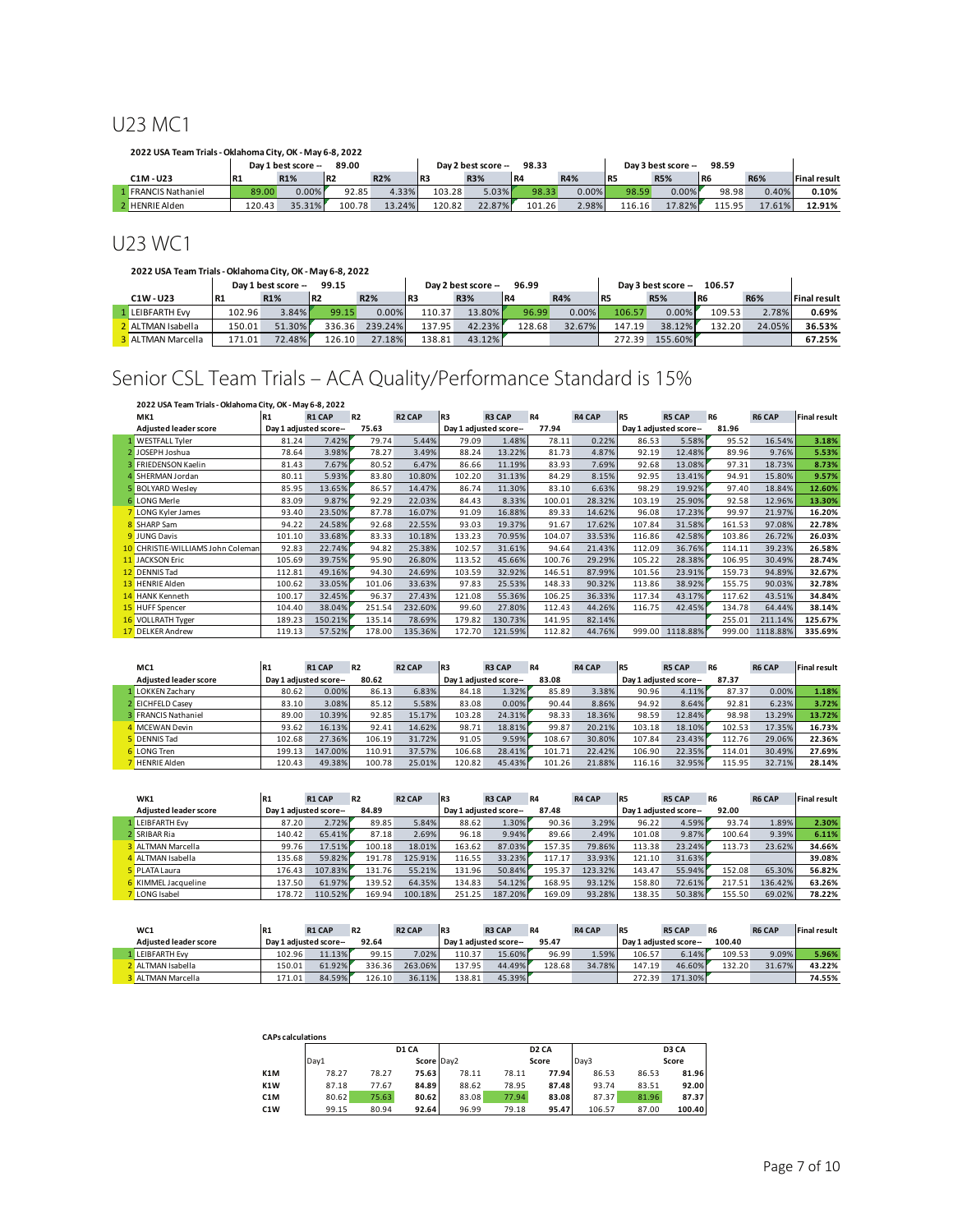## U23 MC1

| 2022 USA Team Trials - Oklahoma City. OK - May 6-8, 2022 |           |                     |        |            |        |                     |                 |       |        |                     |                 |            |                     |
|----------------------------------------------------------|-----------|---------------------|--------|------------|--------|---------------------|-----------------|-------|--------|---------------------|-----------------|------------|---------------------|
|                                                          |           | Day 1 best score -- | 89.00  |            |        | Dav 2 best score -- | 98.33           |       |        | Day 3 best score -- | 98.59           |            |                     |
| $C1M - U23$                                              | <b>R1</b> | R <sub>1</sub> %    | l R2   | <b>R2%</b> | l R3   | <b>R3%</b>          | IR <sub>4</sub> | R4%   | l R5   | <b>R5%</b>          | IR <sub>6</sub> | <b>R6%</b> | <b>Final result</b> |
| <b>FRANCIS Nathaniel</b>                                 | 89.00     | 0.00%               | 92.85  | 4.33%      | 103.28 | $5.03\%$            | 98.33           | 0.00% | 98.59  | 0.00%               | 98.98           | 0.40%      | 0.10%               |
| <b>2</b> HENRIE Alden                                    | 120.43    | 35.31%              | 100.78 | 13.24%     | 120.82 | 22.87%              | 101.26          | 2.98% | 116.16 | 17.82%              | 115.95          | 17.61%     | 12.91%              |

## U23 WC1

#### **2022 USA Team Trials - Oklahoma City, OK - May 6-8, 2022**

|                        |           | Day 1 best score -- | 99.15           |            |                 | Day 2 best score -- | 96.99  |            |        | Dav 3 best score -- | 106.57 |            |                     |
|------------------------|-----------|---------------------|-----------------|------------|-----------------|---------------------|--------|------------|--------|---------------------|--------|------------|---------------------|
| C1W-U23                | <b>R1</b> | <b>R1%</b>          | IR <sub>2</sub> | <b>R2%</b> | IR <sub>3</sub> | <b>R3%</b>          | l R4   | <b>R4%</b> | l R5   | <b>R5%</b>          | R6     | <b>R6%</b> | <b>Final result</b> |
| <b>1 LEIBFARTH Evv</b> | 102.96    | 3.84%               | 99.15           | 0.00%      | 110.37          | 13.80%              | 96.99  | 0.00%      | 106.57 | 0.00%               | 109.53 | 2.78%      | 0.69%               |
| 2 ALTMAN Isabella      | 150.01    | 51.30%              | 336.36          | 239.24%    | 137.95          | 42.23%              | 128.68 | 32.67%     | 147.19 | 38.12%              | 132.20 | 24.05%     | 36.53%              |
| 3 ALTMAN Marcella      | 171.01    | 72.48%              | 126.10          | 27.18%     | 138.81          | 43.12%              |        |            | 272.39 | 155.60%             |        |            | 67.25%              |

## Senior CSL Team Trials – ACA Quality/Performance Standard is 15%

| 2022 USA Team Trials - Oklahoma City, OK - May 6-8, 2022<br><b>R2 CAP</b><br>IR <sub>3</sub><br><b>R4 CAP</b><br>R5<br><b>R6 CAP</b><br><b>R2</b><br><b>R3 CAP</b><br><b>R4</b><br><b>R5 CAP</b><br><b>R6</b><br>MK1<br><b>R1 CAP</b><br><b>R1</b> |                                   |                        |         |        |         |                       |         |        |        |        |                        |        |          |                     |
|----------------------------------------------------------------------------------------------------------------------------------------------------------------------------------------------------------------------------------------------------|-----------------------------------|------------------------|---------|--------|---------|-----------------------|---------|--------|--------|--------|------------------------|--------|----------|---------------------|
|                                                                                                                                                                                                                                                    |                                   |                        |         |        |         |                       |         |        |        |        |                        |        |          | <b>Final result</b> |
|                                                                                                                                                                                                                                                    | <b>Adjusted leader score</b>      | Day 1 adjusted score-- |         | 75.63  |         | Day 1 adjusted score- |         | 77.94  |        |        | Day 1 adjusted score-- | 81.96  |          |                     |
|                                                                                                                                                                                                                                                    | <b>WESTFALL Tyler</b>             | 81.24                  | 7.42%   | 79.74  | 5.44%   | 79.09                 | 1.48%   | 78.11  | 0.22%  | 86.53  | 5.58%                  | 95.52  | 16.54%   | 3.18%               |
|                                                                                                                                                                                                                                                    | 2 JOSEPH Joshua                   | 78.64                  | 3.98%   | 78.27  | 3.49%   | 88.24                 | 13.22%  | 81.73  | 4.87%  | 92.19  | 12.48%                 | 89.96  | 9.76%    | 5.53%               |
|                                                                                                                                                                                                                                                    | 3 FRIEDENSON Kaelin               | 81.43                  | 7.67%   | 80.52  | 6.47%   | 86.66                 | 11.19%  | 83.93  | 7.69%  | 92.68  | 13.08%                 | 97.31  | 18.73%   | 8.73%               |
|                                                                                                                                                                                                                                                    | 4 SHERMAN Jordan                  | 80.11                  | 5.93%   | 83.80  | 10.80%  | 102.20                | 31.13%  | 84.29  | 8.15%  | 92.95  | 13.41%                 | 94.91  | 15.80%   | 9.57%               |
|                                                                                                                                                                                                                                                    | <b>5 BOLYARD Wesley</b>           | 85.95                  | 13.65%  | 86.57  | 14.47%  | 86.74                 | 11.30%  | 83.10  | 6.63%  | 98.29  | 19.92%                 | 97.40  | 18.84%   | 12.60%              |
|                                                                                                                                                                                                                                                    | 6 LONG Merle                      | 83.09                  | 9.87%   | 92.29  | 22.03%  | 84.43                 | 8.33%   | 100.01 | 28.32% | 103.19 | 25.90%                 | 92.58  | 12.96%   | 13.30%              |
|                                                                                                                                                                                                                                                    | 7 LONG Kyler James                | 93.40                  | 23.50%  | 87.78  | 16.07%  | 91.09                 | 16.88%  | 89.33  | 14.62% | 96.08  | 17.23%                 | 99.97  | 21.97%   | 16.20%              |
|                                                                                                                                                                                                                                                    | 8 SHARP Sam                       | 94.22                  | 24.58%  | 92.68  | 22.55%  | 93.03                 | 19.37%  | 91.67  | 17.62% | 107.84 | 31.58%                 | 161.53 | 97.08%   | 22.78%              |
|                                                                                                                                                                                                                                                    | <b>9</b> JUNG Davis               | 101.10                 | 33.68%  | 83.33  | 10.18%  | 133.23                | 70.95%  | 104.07 | 33.53% | 116.86 | 42.58%                 | 103.86 | 26.72%   | 26.03%              |
|                                                                                                                                                                                                                                                    | 10 CHRISTIE-WILLIAMS John Coleman | 92.83                  | 22.74%  | 94.82  | 25.38%  | 102.57                | 31.61%  | 94.64  | 21.43% | 112.09 | 36.76%                 | 114.11 | 39.23%   | 26.58%              |
|                                                                                                                                                                                                                                                    | 11 JACKSON Eric                   | 105.69                 | 39.75%  | 95.90  | 26.80%  | 113.52                | 45.66%  | 100.76 | 29.29% | 105.22 | 28.38%                 | 106.95 | 30.49%   | 28.74%              |
|                                                                                                                                                                                                                                                    | 12 DENNIS Tad                     | 112.81                 | 49.16%  | 94.30  | 24.69%  | 103.59                | 32.92%  | 146.51 | 87.99% | 101.56 | 23.91%                 | 159.73 | 94.89%   | 32.67%              |
|                                                                                                                                                                                                                                                    | 13 HENRIE Alden                   | 100.62                 | 33.05%  | 101.06 | 33.63%  | 97.83                 | 25.53%  | 148.33 | 90.32% | 113.86 | 38.92%                 | 155.75 | 90.03%   | 32.78%              |
|                                                                                                                                                                                                                                                    | 14 HANK Kenneth                   | 100.17                 | 32.45%  | 96.37  | 27.43%  | 121.08                | 55.36%  | 106.25 | 36.33% | 117.34 | 43.17%                 | 117.62 | 43.51%   | 34.84%              |
|                                                                                                                                                                                                                                                    | 15 HUFF Spencer                   | 104.40                 | 38.04%  | 251.54 | 232.60% | 99.60                 | 27.80%  | 112.43 | 44.26% | 116.75 | 42.45%                 | 134.78 | 64.44%   | 38.14%              |
|                                                                                                                                                                                                                                                    | <b>16 VOLLRATH Tyger</b>          | 189.23                 | 150.21% | 135.14 | 78.69%  | 179.82                | 130.73% | 141.95 | 82.14% |        |                        | 255.01 | 211.14%  | 125.67%             |
|                                                                                                                                                                                                                                                    | 17 DELKER Andrew                  | 119.13                 | 57.52%  | 178.00 | 135.36% | 172.70                | 121.59% | 112.82 | 44.76% | 999.00 | 1118.88%               | 999.00 | 1118.88% | 335.69%             |

| MC1                          | <b>R1</b> | <b>R1 CAP</b>         | <b>R2</b> | <b>R<sub>2</sub></b> CAP | IR3    | <b>R3 CAP</b>         | <b>R4</b> | <b>R4 CAP</b> | IR <sub>5</sub> | <b>R5 CAP</b>         | R <sub>6</sub> | <b>R6 CAP</b> | <b>Final result</b> |
|------------------------------|-----------|-----------------------|-----------|--------------------------|--------|-----------------------|-----------|---------------|-----------------|-----------------------|----------------|---------------|---------------------|
| <b>Adjusted leader score</b> |           | Day 1 adjusted score- | 80.62     |                          |        | Dav 1 adiusted score- | 83.08     |               |                 | Day 1 adjusted score- | 87.37          |               |                     |
| <b>LOKKEN Zacharv</b>        | 80.62     | 0.00%                 | 86.13     | 6.83%                    | 84.18  | 1.32%                 | 85.89     | 3.38%         | 90.96           | 4.11%                 | 87.37          | 0.00%         | 1.18%               |
| 2 EICHFELD Casev             | 83.10     | 3.08%                 | 85.12     | 5.58%                    | 83.08  | 0.00%                 | 90.44     | 8.86%         | 94.92           | 8.64%                 | 92.81          | 6.23%         | 3.72%               |
| <b>3 FRANCIS Nathaniel</b>   | 89.00     | 10.39%                | 92.85     | 15.17%                   | 103.28 | 24.31%                | 98.33     | 18.36%        | 98.59           | 12.84%                | 98.98          | 13.29%        | 13.72%              |
| 4 MCEWAN Devin               | 93.62     | 16.13%                | 92.41     | 14.62%                   | 98.71  | 18.81%                | 99.87     | 20.21%        | 103.18          | 18.10%                | 102.53         | 17.35%        | 16.73%              |
| <b>DENNIS Tad</b>            | 102.68    | 27.36%                | 106.19    | 31.72%                   | 91.05  | 9.59%                 | 108.67    | 30.80%        | 107.84          | 23.43%                | 112.76         | 29.06%        | 22.36%              |
| 6 LONG Tren                  | 199.13    | 147.00%               | 110.91    | 37.57%                   | 106.68 | 28.41%                | 101.71    | 22.42%        | 106.90          | 22.35%                | 114.01         | 30.49%        | 27.69%              |
| <b>HENRIE Alden</b>          | 120.43    | 49.38%                | 100.78    | 25.01%                   | 120.82 | 45.43%                | 101.26    | 21.88%        | 116.16          | 32.95%                | 115.95         | 32.71%        | 28.14%              |

| WK1                          | R <sub>1</sub> | <b>R1 CAP</b>         | <b>R2</b>  | <b>R2 CAP</b> | IR <sub>3</sub> | <b>R3 CAP</b>         | <b>R4</b> | <b>R4 CAP</b> | IR5    | <b>R5 CAP</b>         | R <sub>6</sub> | <b>R6 CAP</b> | Final result |
|------------------------------|----------------|-----------------------|------------|---------------|-----------------|-----------------------|-----------|---------------|--------|-----------------------|----------------|---------------|--------------|
| <b>Adjusted leader score</b> |                | Day 1 adjusted score- | 84.89      |               |                 | Day 1 adjusted score- | 87.48     |               |        | Day 1 adjusted score- | 92.00          |               |              |
| <b>LEIBFARTH Evv</b>         | 87.20          | 2.72%                 | 89.85      | 5.84%         | 88.62           | 1.30%                 | 90.36     | 3.29%         | 96.22  | 4.59%                 | 93.74          | 1.89%         | 2.30%        |
| <b>SRIBAR Ria</b>            | 140.42         | 65.41%                | 87.18      | 2.69%         | 96.18           | 9.94%                 | 89.66     | 2.49%         | 101.08 | 9.87%                 | 100.64         | 9.39%         | 6.11%        |
| ALTMAN Marcella              | 99.76          | 17.51%                | 100.18     | 18.01%        | 163.62          | 87.03%                | 157.35    | 79.86%        | 113.38 | 23.24%                | 113.73         | 23.62%        | 34.66%       |
| ALTMAN Isabella              | 135.68         | 59.82%                | .78<br>191 | 125.91%       | 116.55          | 33.23%                | 117.17    | 33.93%        | 121.10 | 31.63%                |                |               | 39.08%       |
| <b>PLATA Laura</b>           | 176.43         | 107.83%               | 131.76     | 55.21%        | 131.96          | 50.84%                | 195.37    | 123.32%       | 143.47 | 55.94%                | 152.08         | 65.30%        | 56.82%       |
| KIMMEL Jacqueline            | 137.50         | 61.97%                | 139.52     | 64.35%        | 134.83          | 54.12%                | 168.95    | 93.12%        | 158.80 | 72.61%                | 217.51         | 136.42%       | 63.26%       |
| <b>LONG</b> Isabel           | 178.72         | 110.52%               | 169.94     | 100.18%       | 251.25          | 187.20%               | 169.09    | 93.28%        | 138.35 | 50.38%                | 155.50         | 69.02%        | 78.22%       |

| WC1                          | <b>R1</b> | <b>R1 CAP</b>          | R <sub>2</sub> | <b>R2 CAP</b> | IR <sub>3</sub>       | <b>R3 CAP</b> | <b>R4</b> | <b>R4 CAP</b> | l R5                   | <b>R5 CAP</b> | R <sub>6</sub> | <b>R6 CAP</b> | <b>Final result</b> |
|------------------------------|-----------|------------------------|----------------|---------------|-----------------------|---------------|-----------|---------------|------------------------|---------------|----------------|---------------|---------------------|
| <b>Adiusted leader score</b> |           | Dav 1 adiusted score-- | 92.64          |               | Dav 1 adiusted score- |               | 95.47     |               | Dav 1 adiusted score-- |               | 100.40         |               |                     |
| <b>LEIBFARTH Evv</b>         | 102.96    | 11.13%                 | 99.15          | 7.02%         | 110.37                | 15.60%        | 96.99     | 1.59%         | 106.57                 | 6.14%         | 109.53         | 9.09%         | 5.96%               |
| ALTMAN Isabella              | 150.01    | 61.92%                 | 336.36         | 263.06%       | 137.95                | 44.49%        | 128.68    | 34.78%        | 147.19                 | 46.60%        | 132.20         | 31.67%        | 43.22%              |
| ALTMAN Marcella              | 171.01    | 84.59%                 | 126.10         | 36.11%        | 138.81                | 45.39%        |           |               | 272.39                 | 171.30%       |                |               | 74.55%              |

| <b>CAPs calculations</b> |       |       |            |       |       |                   |        |       |        |
|--------------------------|-------|-------|------------|-------|-------|-------------------|--------|-------|--------|
|                          |       |       | D1 CA      |       |       | D <sub>2</sub> CA |        |       | D3 CA  |
|                          | Dav1  |       | Score Dav2 |       |       | Score             | Dav3   |       | Score  |
| K1M                      | 78.27 | 78.27 | 75.63      | 78.11 | 78.11 | 77.94             | 86.53  | 86.53 | 81.96  |
| K1W                      | 87.18 | 77.67 | 84.89      | 88.62 | 78.95 | 87.48             | 93.74  | 83.51 | 92.00  |
| C1M                      | 80.62 | 75.63 | 80.62      | 83.08 | 77.94 | 83.08             | 87.37  | 81.96 | 87.37  |
| C <sub>1</sub> W         | 99.15 | 80.94 | 92.64      | 96.99 | 79.18 | 95.47             | 106.57 | 87.00 | 100.40 |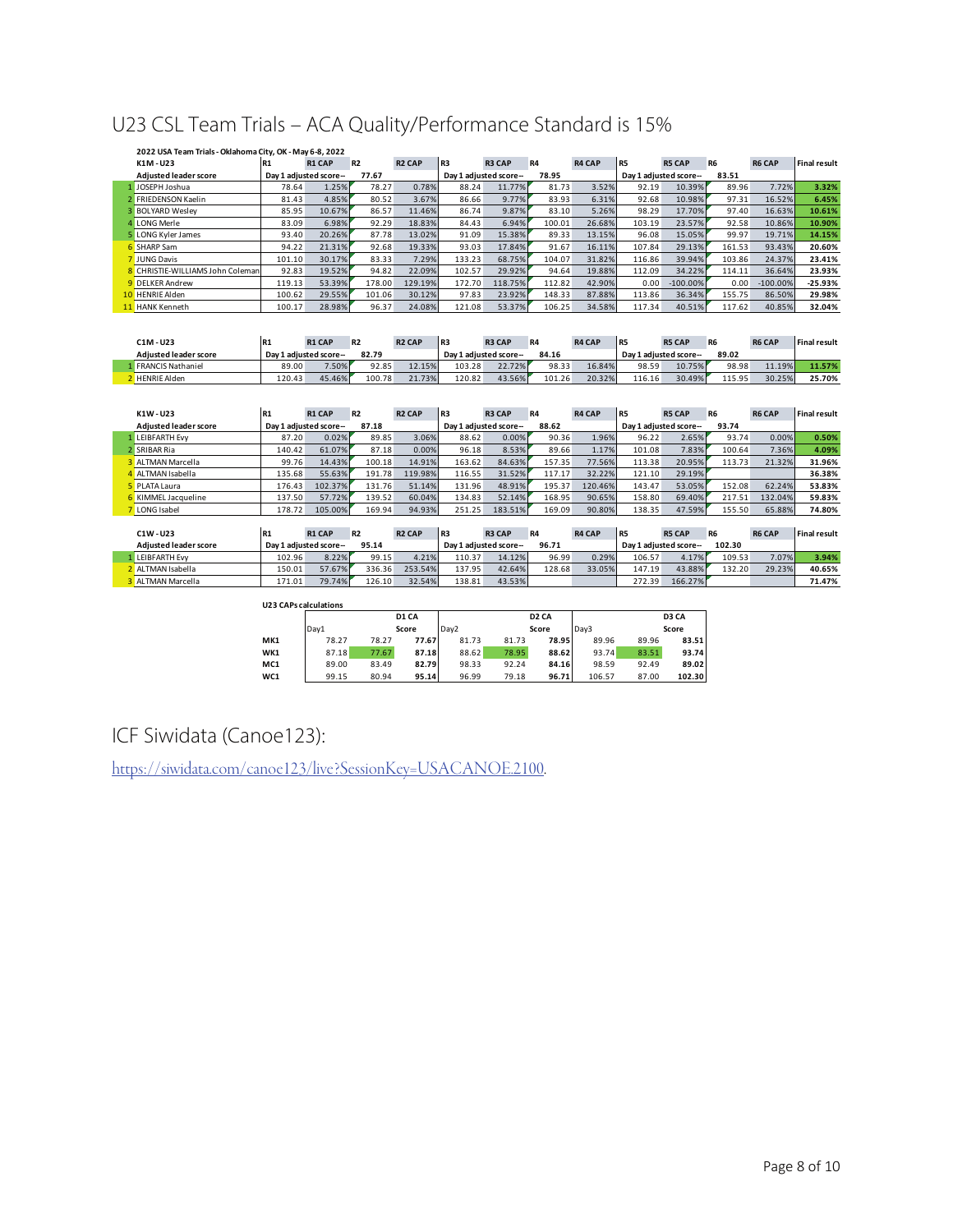## U23 CSL Team Trials – ACA Quality/Performance Standard is 15%

| 2022 USA Team Trials - Oklahoma City, OK - May 6-8, 2022 |                |                        |           |               |                 |                       |           |               |                |                        |           |               |              |
|----------------------------------------------------------|----------------|------------------------|-----------|---------------|-----------------|-----------------------|-----------|---------------|----------------|------------------------|-----------|---------------|--------------|
| K1M-U23                                                  | <b>R1</b>      | <b>R1 CAP</b>          | <b>R2</b> | <b>R2 CAP</b> | IR <sub>3</sub> | <b>R3 CAP</b>         | <b>R4</b> | <b>R4 CAP</b> | R <sub>5</sub> | <b>R5 CAP</b>          | <b>R6</b> | <b>R6 CAP</b> | Final result |
| <b>Adjusted leader score</b>                             |                | Day 1 adjusted score-- | 77.67     |               |                 | Day 1 adjusted score- | 78.95     |               |                | Day 1 adjusted score-- | 83.51     |               |              |
| 1 JOSEPH Joshua                                          | 78.64          | 1.25%                  | 78.27     | 0.78%         | 88.24           | 11.77%                | 81.73     | 3.52%         | 92.19          | 10.39%                 | 89.96     | 7.72%         | 3.32%        |
| <b>FRIEDENSON Kaelin</b>                                 | 81.43          | 4.85%                  | 80.52     | 3.67%         | 86.66           | 9.77%                 | 83.93     | 6.31%         | 92.68          | 10.98%                 | 97.31     | 16.52%        | 6.45%        |
| <b>3 BOLYARD Wesley</b>                                  | 85.95          | 10.67%                 | 86.57     | 11.46%        | 86.74           | 9.87%                 | 83.10     | 5.26%         | 98.29          | 17.70%                 | 97.40     | 16.63%        | 10.61%       |
| <b>LONG Merle</b>                                        | 83.09          | 6.98%                  | 92.29     | 18.83%        | 84.43           | 6.94%                 | 100.01    | 26.68%        | 103.19         | 23.57%                 | 92.58     | 10.86%        | 10.90%       |
| 5 LONG Kyler James                                       | 93.40          | 20.26%                 | 87.78     | 13.02%        | 91.09           | 15.38%                | 89.33     | 13.15%        | 96.08          | 15.05%                 | 99.97     | 19.71%        | 14.15%       |
| 6 SHARP Sam                                              | 94.22          | 21.31%                 | 92.68     | 19.33%        | 93.03           | 17.84%                | 91.67     | 16.11%        | 107.84         | 29.13%                 | 161.53    | 93.43%        | 20.60%       |
| 7 JUNG Davis                                             | 101.10         | 30.17%                 | 83.33     | 7.29%         | 133.23          | 68.75%                | 104.07    | 31.82%        | 116.86         | 39.94%                 | 103.86    | 24.37%        | 23.41%       |
| 8 CHRISTIE-WILLIAMS John Coleman                         | 92.83          | 19.52%                 | 94.82     | 22.09%        | 102.57          | 29.92%                | 94.64     | 19.88%        | 112.09         | 34.22%                 | 114.11    | 36.64%        | 23.93%       |
| 9 DELKER Andrew                                          | 119.13         | 53.39%                 | 178.00    | 129.19%       | 172.70          | 118.75%               | 112.82    | 42.90%        | 0.00           | $-100.00\%$            | 0.00      | $-100.00\%$   | $-25.93%$    |
| 10 HENRIE Alden                                          | 100.62         | 29.55%                 | 101.06    | 30.12%        | 97.83           | 23.92%                | 148.33    | 87.88%        | 113.86         | 36.34%                 | 155.75    | 86.50%        | 29.98%       |
| 11 HANK Kenneth                                          | 100.17         | 28.98%                 | 96.37     | 24.08%        | 121.08          | 53.37%                | 106.25    | 34.58%        | 117.34         | 40.51%                 | 117.62    | 40.85%        | 32.04%       |
|                                                          |                |                        |           |               |                 |                       |           |               |                |                        |           |               |              |
|                                                          |                |                        |           |               |                 |                       |           |               |                |                        |           |               |              |
| $C1M - U23$                                              | R <sub>1</sub> | <b>R1 CAP</b>          | <b>R2</b> | <b>R2 CAP</b> | IR <sub>3</sub> | <b>R3 CAP</b>         | <b>R4</b> | <b>R4 CAP</b> | R <sub>5</sub> | <b>R5 CAP</b>          | <b>R6</b> | <b>R6 CAP</b> | Final result |
| <b>Adjusted leader score</b>                             |                | Day 1 adjusted score-- | 82.79     |               |                 | Day 1 adjusted score- | 84.16     |               |                | Day 1 adjusted score-- | 89.02     |               |              |
| 1 FRANCIS Nathaniel                                      | 89.00          | 7.50%                  | 92.85     | 12.15%        | 103.28          | 22.72%                | 98.33     | 16.84%        | 98.59          | 10.75%                 | 98.98     | 11.19%        | 11.57%       |
| 2 HENRIE Alden                                           | 120.43         | 45.46%                 | 100.78    | 21.73%        | 120.82          | 43.56%                | 101.26    | 20.32%        | 116.16         | 30.49%                 | 115.95    | 30.25%        | 25.70%       |

| K1W-U23                      | <b>R1</b> | <b>R1 CAP</b>         | <b>R2</b> | <b>R2 CAP</b> | IR <sub>3</sub> | <b>R3 CAP</b>         | R4     | <b>R4 CAP</b> | l R5   | <b>R5 CAP</b>          | R <sub>6</sub> | <b>R6 CAP</b> | <b>Final result</b> |
|------------------------------|-----------|-----------------------|-----------|---------------|-----------------|-----------------------|--------|---------------|--------|------------------------|----------------|---------------|---------------------|
| <b>Adiusted leader score</b> |           | Dav 1 adjusted score- | 87.18     |               |                 | Day 1 adjusted score- | 88.62  |               |        | Day 1 adjusted score-- | 93.74          |               |                     |
| LEIBFARTH Evv                | 87.20     | 0.02%                 | 89.85     | 3.06%         | 88.62           | 0.00%                 | 90.36  | 1.96%         | 96.22  | 2.65%                  | 93.74          | 0.00%         | 0.50%               |
| 2 SRIBAR Ria                 | 140.42    | 61.07%                | 87.18     | 0.00%         | 96.18           | 8.53%                 | 89.66  | 1.17%         | 101.08 | 7.83%                  | 100.64         | 7.36%         | 4.09%               |
| <b>ALTMAN Marcella</b>       | 99.76     | 14.43%                | 100.18    | 14.91%        | 163.62          | 84.63%                | 157.35 | 77.56%        | 113.38 | 20.95%                 | 113.73         | 21.32%        | 31.96%              |
| ALTMAN Isabella              | 135.68    | 55.63%                | 191.78    | 119.98%       | 116.55          | 31.52%                | 117.17 | 32.22%        | 121.10 | 29.19%                 |                |               | 36.38%              |
| PLATA Laura                  | 176.43    | 102.37%               | 131.76    | 51.14%        | 131.96          | 48.91%                | 195.37 | 120.46%       | 143.47 | 53.05%                 | 152.08         | 62.24%        | 53.83%              |
| KIMMEL Jacqueline            | 137.50    | 57.72%                | 139.52    | 60.04%        | 134.83          | 52.14%                | 168.95 | 90.65%        | 158.80 | 69.40%                 | 217.51         | 132.04%       | 59.83%              |
| <b>LONG</b> Isabel           | 178.72    | 105.00%               | 169.94    | 94.93%        | 251.25          | 183.51%               | 169.09 | 90.80%        | 138.35 | 47.59%                 | 155.50         | 65.88%        | 74.80%              |

| C1W - U23                    | <b>R1</b> | <b>R1 CAP</b>         | <b>R2</b> | <b>R2 CAP</b> | IR <sub>3</sub> | <b>R3 CAP</b>         | <b>R4</b> | <b>R4 CAP</b> | IR <sub>5</sub>        | <b>R5 CAP</b> | R <sub>6</sub> | <b>R6 CAP</b> | <b>Final result</b> |
|------------------------------|-----------|-----------------------|-----------|---------------|-----------------|-----------------------|-----------|---------------|------------------------|---------------|----------------|---------------|---------------------|
| <b>Adiusted leader score</b> |           | Dav 1 adjusted score- | 95.14     |               |                 | Dav 1 adiusted score- | 96.71     |               | Dav 1 adiusted score-- |               | 102.30         |               |                     |
| <b>LEIBFARTH Evv</b>         | 102.96    | 8.22%                 | 99.15     | 4.21%         | 110.37          | 14.12%                | 96.99     | 0.29%         | 106.57                 | 4.17%         | 109.53         | 7.07%         | 3.94%               |
| ALTMAN Isabella              | 150.01    | 57.67%                | 336.36    | 253.54%       | 137.95          | 42.64%                | 128.68    | 33.05%        | 147.19                 | 43.88%        | 132.20         | 29.23%        | 40.65%              |
| ALTMAN Marcella              | 171.01    | 79.74%                | 126.10    | 32.54%        | 138.81          | 43.53%                |           |               | 272.39                 | 166.27%       |                |               | 71.47%              |

| <b>U23 CAPs calculations</b> |       |       |       |                  |       |                   |        |       |        |
|------------------------------|-------|-------|-------|------------------|-------|-------------------|--------|-------|--------|
|                              |       |       | D1 CA |                  |       | D <sub>2</sub> CA |        |       | D3 CA  |
|                              | Day1  |       | Score | Dav <sub>2</sub> |       | Score             | Dav3   |       | Score  |
| MK1                          | 78.27 | 78.27 | 77.67 | 81.73            | 81.73 | 78.95             | 89.96  | 89.96 | 83.51  |
| WK1                          | 87.18 | 77.67 | 87.18 | 88.62            | 78.95 | 88.62             | 93.74  | 83.51 | 93.74  |
| MC <sub>1</sub>              | 89.00 | 83.49 | 82.79 | 98.33            | 92.24 | 84.16             | 98.59  | 92.49 | 89.02  |
| WC1                          | 99.15 | 80.94 | 95.14 | 96.99            | 79.18 | 96.71             | 106.57 | 87.00 | 102.30 |

## ICF Siwidata (Canoe123):

https://siwidata.com/canoe123/live?SessionKey=USACANOE.2100.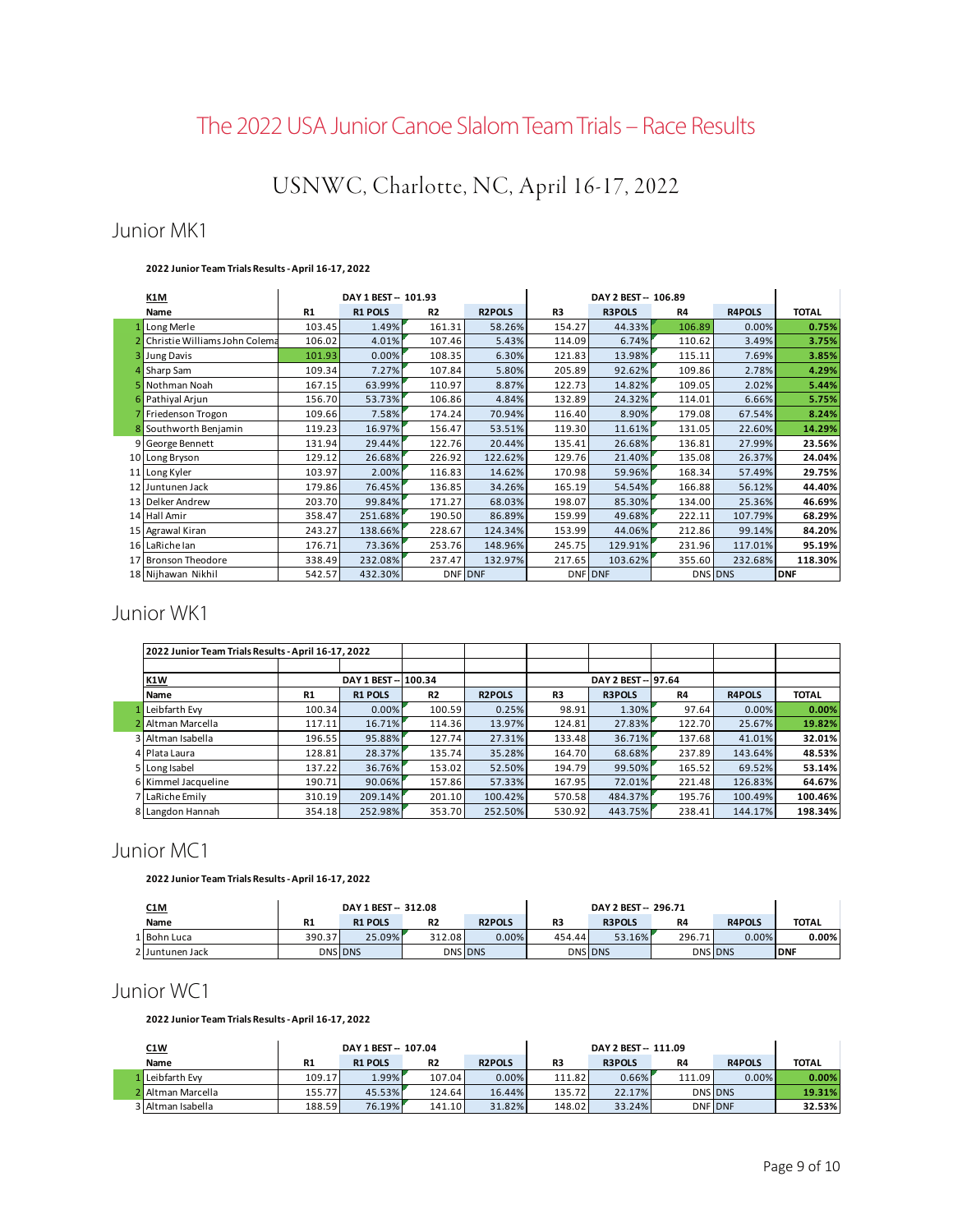# The 2022 USA Junior Canoe Slalom Team Trials – Race Results

# USNWC, Charlotte, NC, April 16-17, 2022

## Junior MK1

#### **2022 Junior Team Trials Results - April 16-17, 2022**

| K1M                             |           | DAY 1 BEST -- 101.93 |                |               |                | DAY 2 BEST - 106.89 |        |               |              |
|---------------------------------|-----------|----------------------|----------------|---------------|----------------|---------------------|--------|---------------|--------------|
| Name                            | <b>R1</b> | <b>R1 POLS</b>       | <b>R2</b>      | <b>R2POLS</b> | R <sub>3</sub> | <b>R3POLS</b>       | R4     | <b>R4POLS</b> | <b>TOTAL</b> |
| Long Merle                      | 103.45    | 1.49%                | 161.31         | 58.26%        | 154.27         | 44.33%              | 106.89 | 0.00%         | 0.75%        |
| 2 Christie Williams John Colema | 106.02    | 4.01%                | 107.46         | 5.43%         | 114.09         | 6.74%               | 110.62 | 3.49%         | 3.75%        |
| Jung Davis                      | 101.93    | 0.00%                | 108.35         | 6.30%         | 121.83         | 13.98%              | 115.11 | 7.69%         | 3.85%        |
| 4 Sharp Sam                     | 109.34    | 7.27%                | 107.84         | 5.80%         | 205.89         | 92.62%              | 109.86 | 2.78%         | 4.29%        |
| 5 Nothman Noah                  | 167.15    | 63.99%               | 110.97         | 8.87%         | 122.73         | 14.82%              | 109.05 | 2.02%         | 5.44%        |
| 6 Pathiyal Arjun                | 156.70    | 53.73%               | 106.86         | 4.84%         | 132.89         | 24.32%              | 114.01 | 6.66%         | 5.75%        |
| Friedenson Trogon               | 109.66    | 7.58%                | 174.24         | 70.94%        | 116.40         | 8.90%               | 179.08 | 67.54%        | 8.24%        |
| 8 Southworth Benjamin           | 119.23    | 16.97%               | 156.47         | 53.51%        | 119.30         | 11.61%              | 131.05 | 22.60%        | 14.29%       |
| 9 George Bennett                | 131.94    | 29.44%               | 122.76         | 20.44%        | 135.41         | 26.68%              | 136.81 | 27.99%        | 23.56%       |
| 10 Long Bryson                  | 129.12    | 26.68%               | 226.92         | 122.62%       | 129.76         | 21.40%              | 135.08 | 26.37%        | 24.04%       |
| 11 Long Kyler                   | 103.97    | 2.00%                | 116.83         | 14.62%        | 170.98         | 59.96%              | 168.34 | 57.49%        | 29.75%       |
| 12 Juntunen Jack                | 179.86    | 76.45%               | 136.85         | 34.26%        | 165.19         | 54.54%              | 166.88 | 56.12%        | 44.40%       |
| 13 Delker Andrew                | 203.70    | 99.84%               | 171.27         | 68.03%        | 198.07         | 85.30%              | 134.00 | 25.36%        | 46.69%       |
| 14 Hall Amir                    | 358.47    | 251.68%              | 190.50         | 86.89%        | 159.99         | 49.68%              | 222.11 | 107.79%       | 68.29%       |
| 15 Agrawal Kiran                | 243.27    | 138.66%              | 228.67         | 124.34%       | 153.99         | 44.06%              | 212.86 | 99.14%        | 84.20%       |
| 16 LaRichelan                   | 176.71    | 73.36%               | 253.76         | 148.96%       | 245.75         | 129.91%             | 231.96 | 117.01%       | 95.19%       |
| 17 Bronson Theodore             | 338.49    | 232.08%              | 237.47         | 132.97%       | 217.65         | 103.62%             | 355.60 | 232.68%       | 118.30%      |
| 18 Nijhawan Nikhil              | 542.57    | 432.30%              | <b>DNF DNF</b> |               |                | <b>DNF DNF</b>      |        | DNS DNS       | <b>DNF</b>   |

## Junior WK1

| 2022 Junior Team Trials Results - April 16-17, 2022 |                |                      |           |               |                |                   |                |               |              |
|-----------------------------------------------------|----------------|----------------------|-----------|---------------|----------------|-------------------|----------------|---------------|--------------|
|                                                     |                |                      |           |               |                |                   |                |               |              |
| <b>K1W</b>                                          |                | DAY 1 BEST -- 100.34 |           |               |                | DAY 2 BEST-197.64 |                |               |              |
| <b>Name</b>                                         | R <sub>1</sub> | <b>R1 POLS</b>       | <b>R2</b> | <b>R2POLS</b> | R <sub>3</sub> | <b>R3POLS</b>     | R <sub>4</sub> | <b>R4POLS</b> | <b>TOTAL</b> |
| Leibfarth Evv                                       | 100.34         | 0.00%                | 100.59    | 0.25%         | 98.91          | 1.30%             | 97.64          | $0.00\%$      | 0.00%        |
| Altman Marcella                                     | 117.11         | 16.71%               | 114.36    | 13.97%        | 124.81         | 27.83%            | 122.70         | 25.67%        | 19.82%       |
| 3 Altman Isabella                                   | 196.55         | 95.88%               | 127.74    | 27.31%        | 133.48         | 36.71%            | 137.68         | 41.01%        | 32.01%       |
| 4 Plata Laura                                       | 128.81         | 28.37%               | 135.74    | 35.28%        | 164.70         | 68.68%            | 237.89         | 143.64%       | 48.53%       |
| 5 Long Isabel                                       | 137.22         | 36.76%               | 153.02    | 52.50%        | 194.79         | 99.50%            | 165.52         | 69.52%        | 53.14%       |
| 6 Kimmel Jacqueline                                 | 190.71         | 90.06%               | 157.86    | 57.33%        | 167.95         | 72.01%            | 221.48         | 126.83%       | 64.67%       |
| 7 LaRiche Emily                                     | 310.19         | 209.14%              | 201.10    | 100.42%       | 570.58         | 484.37%           | 195.76         | 100.49%       | 100.46%      |
| 8 Langdon Hannah                                    | 354.18         | 252.98%              | 353.70    | 252.50%       | 530.92         | 443.75%           | 238.41         | 144.17%       | 198.34%      |

## Junior MC1

**2022 Junior Team Trials Results - April 16-17, 2022**

| <u>C1M</u>      |                | DAY 1 BEST -- 312.08 |                |               |        | DAY 2 BEST - 296.71 |                |                |              |
|-----------------|----------------|----------------------|----------------|---------------|--------|---------------------|----------------|----------------|--------------|
| Name            | R1             | <b>R1 POLS</b>       | R <sub>2</sub> | <b>R2POLS</b> | R3     | <b>R3POLS</b>       | R <sub>4</sub> | <b>R4POLS</b>  | <b>TOTAL</b> |
| L Bohn Luca     | 390.37         | 25.09%               | 312.08         | 0.00%         | 454.44 | 53.16%              | 296.71         | $0.00\%$       | 0.00%        |
| 2 Juntunen Jack | <b>DNS DNS</b> |                      | <b>DNS DNS</b> |               |        | <b>DNS DNS</b>      |                | <b>DNS DNS</b> | <b>DNF</b>   |

## Junior WC1

**2022 Junior Team Trials Results - April 16-17, 2022**

| <u>C1W</u>        | DAY 1 BEST -- 107.04 |                |           |               | DAY 2 BEST - 111.09 |               |                |               |              |
|-------------------|----------------------|----------------|-----------|---------------|---------------------|---------------|----------------|---------------|--------------|
| Name              | R1                   | <b>R1 POLS</b> | <b>R2</b> | <b>R2POLS</b> | R3                  | <b>R3POLS</b> | R <sub>4</sub> | <b>R4POLS</b> | <b>TOTAL</b> |
| Lleibfarth Evv    | 109.17               | $1.99\%$       | 107.04    | 0.00%         | 111.82              | 0.66%         | 111.09         | $0.00\%$      | 0.00%        |
| 2 Altman Marcella | 155.77               | 45.53%         | 124.64    | 16.44%        | 135.72              | 22.17%        | <b>DNS DNS</b> |               | 19.31%       |
| 3 Altman Isabella | 188.59               | 76.19%         | 141.10    | 31.82%        | 148.02              | 33.24%        | <b>DNF DNF</b> |               | 32.53%       |